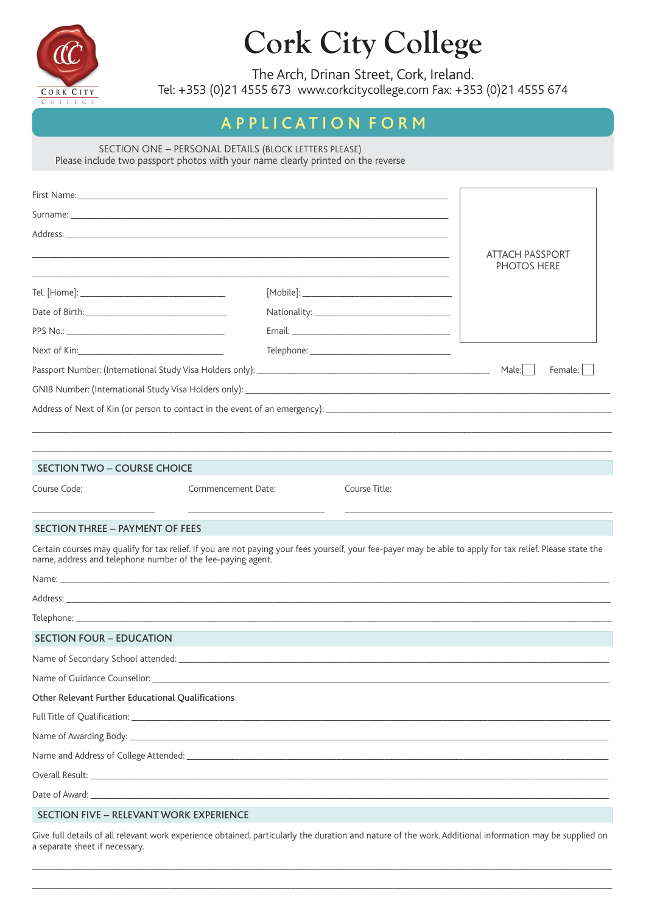

# **Cork City College**

The Arch, Drinan Street, Cork, Ireland.

Tel: +353 (0)21 4555 673 www.corkcitycollege.com Fax: +353 (0)21 4555 674

# APPLICATION FORM

SECTION ONE - PERSONAL DETAILS (BLOCK LETTERS PLEASE)

Please include two passport photos with your name clearly printed on the reverse

|                                                   |                                                             |  |               |  | ATTACH PASSPORT                                                                                                                                            |  |
|---------------------------------------------------|-------------------------------------------------------------|--|---------------|--|------------------------------------------------------------------------------------------------------------------------------------------------------------|--|
|                                                   |                                                             |  |               |  | <b>PHOTOS HERE</b>                                                                                                                                         |  |
|                                                   |                                                             |  |               |  |                                                                                                                                                            |  |
|                                                   |                                                             |  |               |  |                                                                                                                                                            |  |
|                                                   |                                                             |  |               |  |                                                                                                                                                            |  |
| Next of Kin: Next of Kin:                         |                                                             |  |               |  |                                                                                                                                                            |  |
|                                                   |                                                             |  |               |  | Male:  <br>Female:                                                                                                                                         |  |
|                                                   |                                                             |  |               |  |                                                                                                                                                            |  |
|                                                   |                                                             |  |               |  |                                                                                                                                                            |  |
|                                                   |                                                             |  |               |  |                                                                                                                                                            |  |
|                                                   |                                                             |  |               |  |                                                                                                                                                            |  |
| <b>SECTION TWO - COURSE CHOICE</b>                |                                                             |  |               |  |                                                                                                                                                            |  |
| Course Code:                                      | Commencement Date:                                          |  | Course Title: |  |                                                                                                                                                            |  |
|                                                   |                                                             |  |               |  |                                                                                                                                                            |  |
| <b>SECTION THREE - PAYMENT OF FEES</b>            |                                                             |  |               |  |                                                                                                                                                            |  |
|                                                   | name, address and telephone number of the fee-paying agent. |  |               |  | Certain courses may qualify for tax relief. If you are not paying your fees yourself, your fee-payer may be able to apply for tax relief. Please state the |  |
|                                                   |                                                             |  |               |  |                                                                                                                                                            |  |
|                                                   |                                                             |  |               |  |                                                                                                                                                            |  |
|                                                   |                                                             |  |               |  |                                                                                                                                                            |  |
| SECTION FOUR - EDUCATION                          |                                                             |  |               |  |                                                                                                                                                            |  |
|                                                   |                                                             |  |               |  |                                                                                                                                                            |  |
|                                                   |                                                             |  |               |  |                                                                                                                                                            |  |
| Other Relevant Further Educational Qualifications |                                                             |  |               |  |                                                                                                                                                            |  |
|                                                   |                                                             |  |               |  |                                                                                                                                                            |  |
|                                                   |                                                             |  |               |  |                                                                                                                                                            |  |
|                                                   |                                                             |  |               |  |                                                                                                                                                            |  |
|                                                   |                                                             |  |               |  |                                                                                                                                                            |  |
|                                                   |                                                             |  |               |  |                                                                                                                                                            |  |
|                                                   | <b>SECTION FIVE - RELEVANT WORK EXPERIENCE</b>              |  |               |  |                                                                                                                                                            |  |
|                                                   |                                                             |  |               |  | Cive full details of all relevant work experience obtained particularly the duration and pature of the work Additional information may be supplied on      |  |

: full details of all relevant ence obtained, particularly the duration and nature of the work. Additional information may be supplied on a separate sheet if necessary.